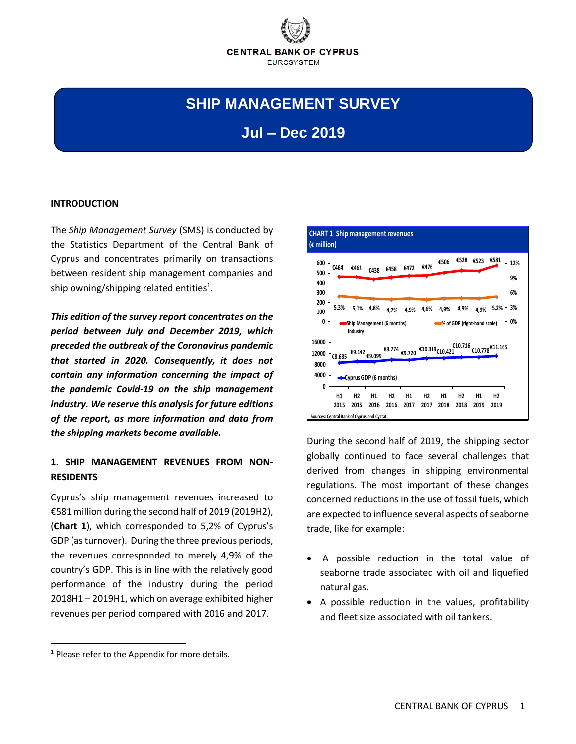

# **SHIP MANAGEMENT SURVEY**

## **Jul – Dec 2019**

#### **INTRODUCTION**

The *Ship Management Survey* (SMS) is conducted by the Statistics Department of the Central Bank of Cyprus and concentrates primarily on transactions between resident ship management companies and ship owning/shipping related entities<sup>1</sup>.

*This edition of the survey report concentrates on the period between July and December 2019, which preceded the outbreak of the Coronavirus pandemic that started in 2020. Consequently, it does not contain any information concerning the impact of the pandemic Covid-19 on the ship management industry. We reserve this analysis for future editions of the report, as more information and data from the shipping markets become available.*

### **1. SHIP MANAGEMENT REVENUES FROM NON-RESIDENTS**

Cyprus's ship management revenues increased to €581 million during the second half of 2019 (2019H2), (**Chart 1**), which corresponded to 5,2% of Cyprus's GDP (as turnover). During the three previous periods, the revenues corresponded to merely 4,9% of the country's GDP. This is in line with the relatively good performance of the industry during the period 2018H1 – 2019H1, which on average exhibited higher revenues per period compared with 2016 and 2017.



During the second half of 2019, the shipping sector globally continued to face several challenges that derived from changes in shipping environmental regulations. The most important of these changes concerned reductions in the use of fossil fuels, which are expected to influence several aspects of seaborne trade, like for example:

- A possible reduction in the total value of seaborne trade associated with oil and liquefied natural gas.
- A possible reduction in the values, profitability and fleet size associated with oil tankers.

 $\overline{a}$ 

 $<sup>1</sup>$  Please refer to the Appendix for more details.</sup>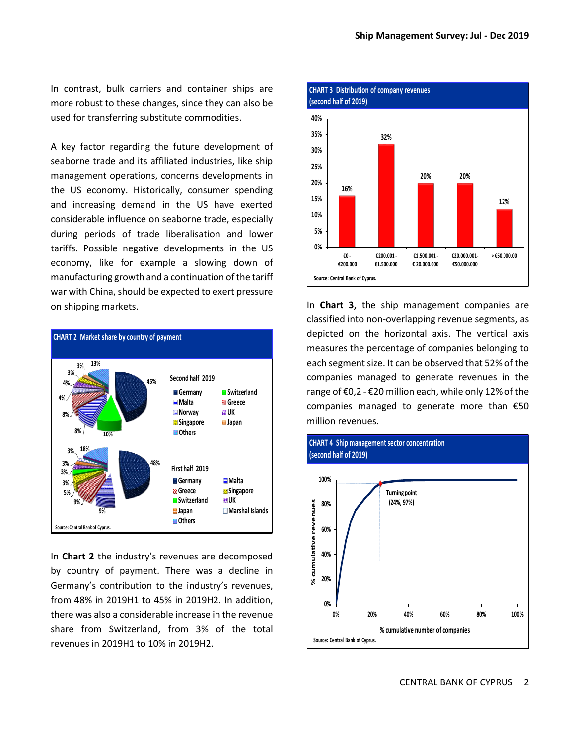In contrast, bulk carriers and container ships are more robust to these changes, since they can also be used for transferring substitute commodities.

A key factor regarding the future development of seaborne trade and its affiliated industries, like ship management operations, concerns developments in the US economy. Historically, consumer spending and increasing demand in the US have exerted considerable influence on seaborne trade, especially during periods of trade liberalisation and lower tariffs. Possible negative developments in the US economy, like for example a slowing down of manufacturing growth and a continuation of the tariff war with China, should be expected to exert pressure on shipping markets.



In **Chart 2** the industry's revenues are decomposed by country of payment. There was a decline in Germany's contribution to the industry's revenues, from 48% in 2019H1 to 45% in 2019H2. In addition, there was also a considerable increase in the revenue share from Switzerland, from 3% of the total revenues in 2019H1 to 10% in 2019H2.



In **Chart 3,** the ship management companies are classified into non-overlapping revenue segments, as depicted on the horizontal axis. The vertical axis measures the percentage of companies belonging to each segment size. It can be observed that 52% of the companies managed to generate revenues in the range of €0,2 - €20 million each, while only 12% of the companies managed to generate more than €50 million revenues.

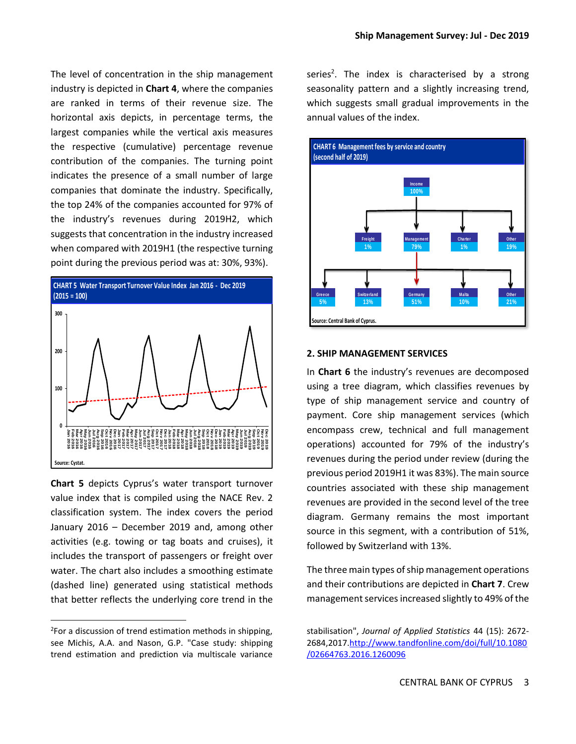The level of concentration in the ship management industry is depicted in **Chart 4**, where the companies are ranked in terms of their revenue size. The horizontal axis depicts, in percentage terms, the largest companies while the vertical axis measures the respective (cumulative) percentage revenue contribution of the companies. The turning point indicates the presence of a small number of large companies that dominate the industry. Specifically, the top 24% of the companies accounted for 97% of the industry's revenues during 2019H2, which suggests that concentration in the industry increased when compared with 2019H1 (the respective turning point during the previous period was at: 30%, 93%).



**Chart 5** depicts Cyprus's water transport turnover value index that is compiled using the NACE Rev. 2 classification system. The index covers the period January 2016 – December 2019 and, among other activities (e.g. towing or tag boats and cruises), it includes the transport of passengers or freight over water. The chart also includes a smoothing estimate (dashed line) generated using statistical methods that better reflects the underlying core trend in the

 $\overline{a}$ 

series<sup>2</sup>. The index is characterised by a strong seasonality pattern and a slightly increasing trend, which suggests small gradual improvements in the annual values of the index.



#### **2. SHIP MANAGEMENT SERVICES**

In **Chart 6** the industry's revenues are decomposed using a tree diagram, which classifies revenues by type of ship management service and country of payment. Core ship management services (which encompass crew, technical and full management operations) accounted for 79% of the industry's revenues during the period under review (during the previous period 2019H1 it was 83%). The main source countries associated with these ship management revenues are provided in the second level of the tree diagram. Germany remains the most important source in this segment, with a contribution of 51%, followed by Switzerland with 13%.

The three main types of ship management operations and their contributions are depicted in **Chart 7**. Crew management services increased slightly to 49% of the

<sup>&</sup>lt;sup>2</sup>For a discussion of trend estimation methods in shipping, see Michis, A.A. and Nason, G.P. "Case study: shipping trend estimation and prediction via multiscale variance

stabilisation", *Journal of Applied Statistics* 44 (15): 2672- 2684,201[7.http://www.tandfonline.com/doi/full/10.1080](http://www.tandfonline.com/doi/full/10.1080/02664763.2016.1260096) [/02664763.2016.1260096](http://www.tandfonline.com/doi/full/10.1080/02664763.2016.1260096)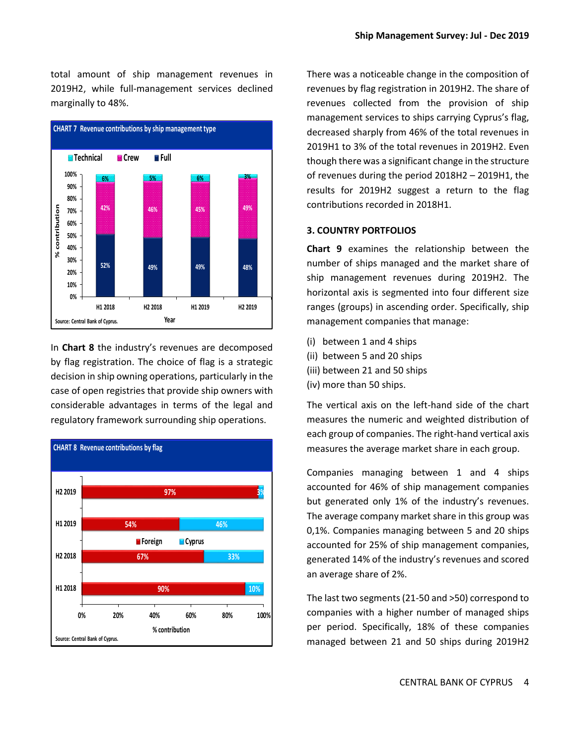total amount of ship management revenues in 2019H2, while full-management services declined marginally to 48%.



In **Chart 8** the industry's revenues are decomposed by flag registration. The choice of flag is a strategic decision in ship owning operations, particularly in the case of open registries that provide ship owners with considerable advantages in terms of the legal and regulatory framework surrounding ship operations.



There was a noticeable change in the composition of revenues by flag registration in 2019H2. The share of revenues collected from the provision of ship management services to ships carrying Cyprus's flag, decreased sharply from 46% of the total revenues in 2019H1 to 3% of the total revenues in 2019H2. Even though there was a significant change in the structure of revenues during the period 2018H2 – 2019H1, the results for 2019H2 suggest a return to the flag contributions recorded in 2018H1.

#### **3. COUNTRY PORTFOLIOS**

**Chart 9** examines the relationship between the number of ships managed and the market share of ship management revenues during 2019H2. The horizontal axis is segmented into four different size ranges (groups) in ascending order. Specifically, ship management companies that manage:

- (i) between 1 and 4 ships
- (ii) between 5 and 20 ships
- (iii) between 21 and 50 ships
- (iv) more than 50 ships.

The vertical axis on the left-hand side of the chart measures the numeric and weighted distribution of each group of companies. The right-hand vertical axis measures the average market share in each group.

Companies managing between 1 and 4 ships accounted for 46% of ship management companies but generated only 1% of the industry's revenues. The average company market share in this group was 0,1%. Companies managing between 5 and 20 ships accounted for 25% of ship management companies, generated 14% of the industry's revenues and scored an average share of 2%.

The last two segments (21-50 and >50) correspond to companies with a higher number of managed ships per period. Specifically, 18% of these companies managed between 21 and 50 ships during 2019H2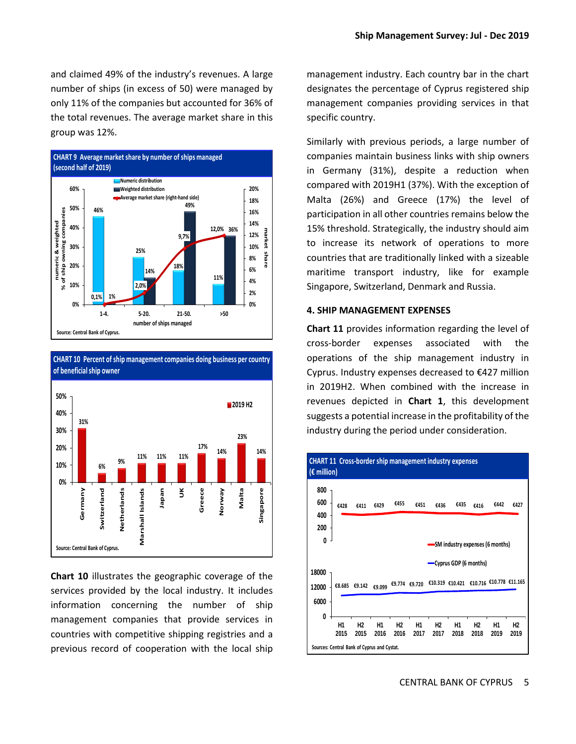and claimed 49% of the industry's revenues. A large number of ships (in excess of 50) were managed by only 11% of the companies but accounted for 36% of the total revenues. The average market share in this group was 12%.





**Chart 10** illustrates the geographic coverage of the services provided by the local industry. It includes information concerning the number of ship management companies that provide services in countries with competitive shipping registries and a previous record of cooperation with the local ship management industry. Each country bar in the chart designates the percentage of Cyprus registered ship management companies providing services in that specific country.

Similarly with previous periods, a large number of companies maintain business links with ship owners in Germany (31%), despite a reduction when compared with 2019H1 (37%). With the exception of Malta (26%) and Greece (17%) the level of participation in all other countries remains below the 15% threshold. Strategically, the industry should aim to increase its network of operations to more countries that are traditionally linked with a sizeable maritime transport industry, like for example Singapore, Switzerland, Denmark and Russia.

#### **4. SHIP MANAGEMENT EXPENSES**

**Chart 11** provides information regarding the level of cross-border expenses associated with the operations of the ship management industry in Cyprus. Industry expenses decreased to €427 million in 2019H2. When combined with the increase in revenues depicted in **Chart 1**, this development suggests a potential increase in the profitability of the industry during the period under consideration.

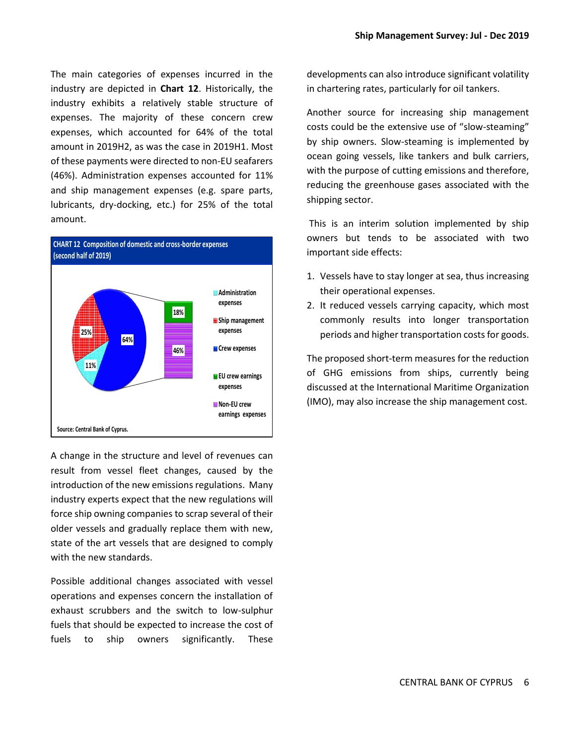The main categories of expenses incurred in the industry are depicted in **Chart 12**. Historically, the industry exhibits a relatively stable structure of expenses. The majority of these concern crew expenses, which accounted for 64% of the total amount in 2019H2, as was the case in 2019H1. Most of these payments were directed to non-EU seafarers (46%). Administration expenses accounted for 11% and ship management expenses (e.g. spare parts, lubricants, dry-docking, etc.) for 25% of the total amount.



A change in the structure and level of revenues can result from vessel fleet changes, caused by the introduction of the new emissions regulations. Many industry experts expect that the new regulations will force ship owning companies to scrap several of their older vessels and gradually replace them with new, state of the art vessels that are designed to comply with the new standards.

Possible additional changes associated with vessel operations and expenses concern the installation of exhaust scrubbers and the switch to low-sulphur fuels that should be expected to increase the cost of fuels to ship owners significantly. These

developments can also introduce significant volatility in chartering rates, particularly for oil tankers.

Another source for increasing ship management costs could be the extensive use of "slow-steaming" by ship owners. Slow-steaming is implemented by ocean going vessels, like tankers and bulk carriers, with the purpose of cutting emissions and therefore, reducing the greenhouse gases associated with the shipping sector.

This is an interim solution implemented by ship owners but tends to be associated with two important side effects:

- 1. Vessels have to stay longer at sea, thus increasing their operational expenses.
- 2. It reduced vessels carrying capacity, which most commonly results into longer transportation periods and higher transportation costs for goods.

The proposed short-term measures for the reduction of GHG emissions from ships, currently being discussed at the International Maritime Organization (IMO), may also increase the ship management cost.